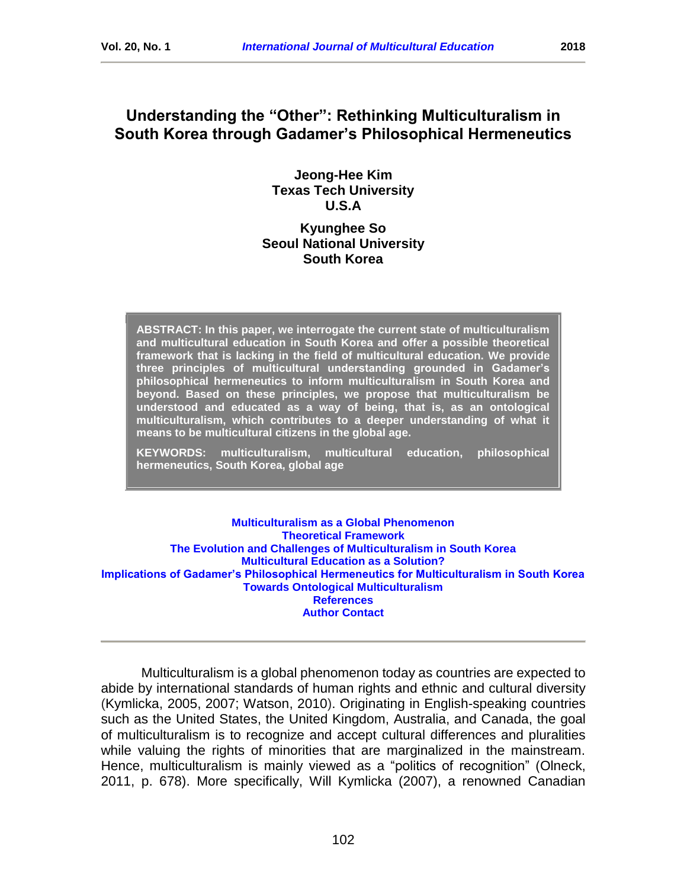# **Understanding the "Other": Rethinking Multiculturalism in South Korea through Gadamer's Philosophical Hermeneutics**

**Jeong-Hee Kim Texas Tech University U.S.A**

# **Kyunghee So Seoul National University South Korea**

**ABSTRACT: In this paper, we interrogate the current state of multiculturalism and multicultural education in South Korea and offer a possible theoretical framework that is lacking in the field of multicultural education. We provide three principles of multicultural understanding grounded in Gadamer's philosophical hermeneutics to inform multiculturalism in South Korea and beyond. Based on these principles, we propose that multiculturalism be understood and educated as a way of being, that is, as an ontological multiculturalism, which contributes to a deeper understanding of what it means to be multicultural citizens in the global age.** 

**KEYWORDS: multiculturalism, multicultural education, philosophical hermeneutics, South Korea, global age**

**[Multiculturalism as a Global Phenomenon](#page-7-0) [Theoretical Framework](#page-2-0) [The Evolution and Challenges of Multiculturalism in South Korea](#page-4-0) [Multicultural Education as a Solution?](#page-7-0) [Implications of Gadamer's Philosophical Hermeneutics for Multiculturalism in South Korea](#page-8-0) [Towards Ontological Multiculturalism](#page-11-0) [References](#page-13-0) [Author Contact](#page-15-0)**

Multiculturalism is a global phenomenon today as countries are expected to abide by international standards of human rights and ethnic and cultural diversity (Kymlicka, 2005, 2007; Watson, 2010). Originating in English-speaking countries such as the United States, the United Kingdom, Australia, and Canada, the goal of multiculturalism is to recognize and accept cultural differences and pluralities while valuing the rights of minorities that are marginalized in the mainstream. Hence, multiculturalism is mainly viewed as a "politics of recognition" (Olneck, 2011, p. 678). More specifically, Will Kymlicka (2007), a renowned Canadian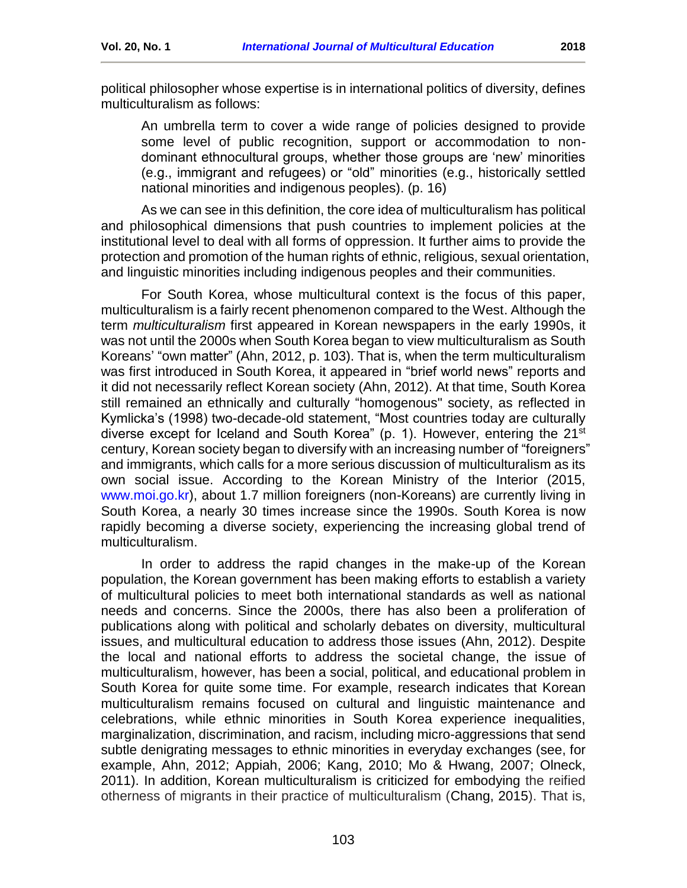political philosopher whose expertise is in international politics of diversity, defines multiculturalism as follows:

An umbrella term to cover a wide range of policies designed to provide some level of public recognition, support or accommodation to nondominant ethnocultural groups, whether those groups are 'new' minorities (e.g., immigrant and refugees) or "old" minorities (e.g., historically settled national minorities and indigenous peoples). (p. 16)

As we can see in this definition, the core idea of multiculturalism has political and philosophical dimensions that push countries to implement policies at the institutional level to deal with all forms of oppression. It further aims to provide the protection and promotion of the human rights of ethnic, religious, sexual orientation, and linguistic minorities including indigenous peoples and their communities.

For South Korea, whose multicultural context is the focus of this paper, multiculturalism is a fairly recent phenomenon compared to the West. Although the term *multiculturalism* first appeared in Korean newspapers in the early 1990s, it was not until the 2000s when South Korea began to view multiculturalism as South Koreans' "own matter" (Ahn, 2012, p. 103). That is, when the term multiculturalism was first introduced in South Korea, it appeared in "brief world news" reports and it did not necessarily reflect Korean society (Ahn, 2012). At that time, South Korea still remained an ethnically and culturally "homogenous" society, as reflected in Kymlicka's (1998) two-decade-old statement, "Most countries today are culturally diverse except for Iceland and South Korea" (p. 1). However, entering the 21<sup>st</sup> century, Korean society began to diversify with an increasing number of "foreigners" and immigrants, which calls for a more serious discussion of multiculturalism as its own social issue. According to the Korean Ministry of the Interior (2015, [www.moi.go.kr\)](http://www.moi.go.kr/), about 1.7 million foreigners (non-Koreans) are currently living in South Korea, a nearly 30 times increase since the 1990s. South Korea is now rapidly becoming a diverse society, experiencing the increasing global trend of multiculturalism.

In order to address the rapid changes in the make-up of the Korean population, the Korean government has been making efforts to establish a variety of multicultural policies to meet both international standards as well as national needs and concerns. Since the 2000s, there has also been a proliferation of publications along with political and scholarly debates on diversity, multicultural issues, and multicultural education to address those issues (Ahn, 2012). Despite the local and national efforts to address the societal change, the issue of multiculturalism, however, has been a social, political, and educational problem in South Korea for quite some time. For example, research indicates that Korean multiculturalism remains focused on cultural and linguistic maintenance and celebrations, while ethnic minorities in South Korea experience inequalities, marginalization, discrimination, and racism, including micro-aggressions that send subtle denigrating messages to ethnic minorities in everyday exchanges (see, for example, Ahn, 2012; Appiah, 2006; Kang, 2010; Mo & Hwang, 2007; Olneck, 2011). In addition, Korean multiculturalism is criticized for embodying the reified otherness of migrants in their practice of multiculturalism (Chang, 2015). That is,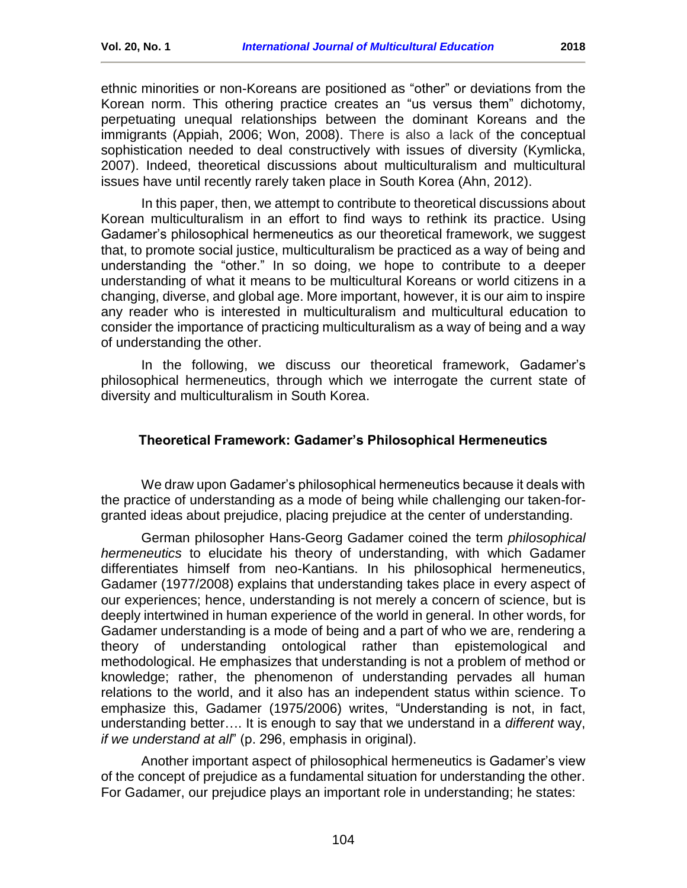ethnic minorities or non-Koreans are positioned as "other" or deviations from the Korean norm. This othering practice creates an "us versus them" dichotomy, perpetuating unequal relationships between the dominant Koreans and the immigrants (Appiah, 2006; Won, 2008). There is also a lack of the conceptual sophistication needed to deal constructively with issues of diversity (Kymlicka, 2007). Indeed, theoretical discussions about multiculturalism and multicultural issues have until recently rarely taken place in South Korea (Ahn, 2012).

In this paper, then, we attempt to contribute to theoretical discussions about Korean multiculturalism in an effort to find ways to rethink its practice. Using Gadamer's philosophical hermeneutics as our theoretical framework, we suggest that, to promote social justice, multiculturalism be practiced as a way of being and understanding the "other." In so doing, we hope to contribute to a deeper understanding of what it means to be multicultural Koreans or world citizens in a changing, diverse, and global age. More important, however, it is our aim to inspire any reader who is interested in multiculturalism and multicultural education to consider the importance of practicing multiculturalism as a way of being and a way of understanding the other.

In the following, we discuss our theoretical framework, Gadamer's philosophical hermeneutics, through which we interrogate the current state of diversity and multiculturalism in South Korea.

### <span id="page-2-0"></span>**Theoretical Framework: Gadamer's Philosophical Hermeneutics**

We draw upon Gadamer's philosophical hermeneutics because it deals with the practice of understanding as a mode of being while challenging our taken-forgranted ideas about prejudice, placing prejudice at the center of understanding.

German philosopher Hans-Georg Gadamer coined the term *philosophical hermeneutics* to elucidate his theory of understanding, with which Gadamer differentiates himself from neo-Kantians. In his philosophical hermeneutics, Gadamer (1977/2008) explains that understanding takes place in every aspect of our experiences; hence, understanding is not merely a concern of science, but is deeply intertwined in human experience of the world in general. In other words, for Gadamer understanding is a mode of being and a part of who we are, rendering a theory of understanding ontological rather than epistemological and methodological. He emphasizes that understanding is not a problem of method or knowledge; rather, the phenomenon of understanding pervades all human relations to the world, and it also has an independent status within science. To emphasize this, Gadamer (1975/2006) writes, "Understanding is not, in fact, understanding better…. It is enough to say that we understand in a *different* way, *if we understand at all*" (p. 296, emphasis in original).

Another important aspect of philosophical hermeneutics is Gadamer's view of the concept of prejudice as a fundamental situation for understanding the other. For Gadamer, our prejudice plays an important role in understanding; he states: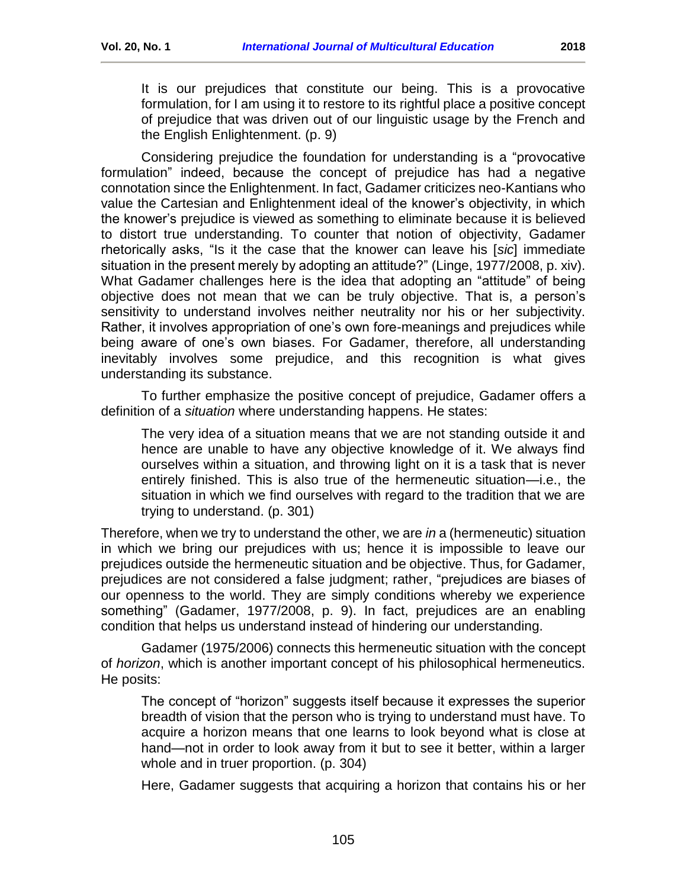It is our prejudices that constitute our being. This is a provocative formulation, for I am using it to restore to its rightful place a positive concept of prejudice that was driven out of our linguistic usage by the French and the English Enlightenment. (p. 9)

Considering prejudice the foundation for understanding is a "provocative formulation" indeed, because the concept of prejudice has had a negative connotation since the Enlightenment. In fact, Gadamer criticizes neo-Kantians who value the Cartesian and Enlightenment ideal of the knower's objectivity, in which the knower's prejudice is viewed as something to eliminate because it is believed to distort true understanding. To counter that notion of objectivity, Gadamer rhetorically asks, "Is it the case that the knower can leave his [*sic*] immediate situation in the present merely by adopting an attitude?" (Linge, 1977/2008, p. xiv). What Gadamer challenges here is the idea that adopting an "attitude" of being objective does not mean that we can be truly objective. That is, a person's sensitivity to understand involves neither neutrality nor his or her subjectivity. Rather, it involves appropriation of one's own fore-meanings and prejudices while being aware of one's own biases. For Gadamer, therefore, all understanding inevitably involves some prejudice, and this recognition is what gives understanding its substance.

To further emphasize the positive concept of prejudice, Gadamer offers a definition of a *situation* where understanding happens. He states:

The very idea of a situation means that we are not standing outside it and hence are unable to have any objective knowledge of it. We always find ourselves within a situation, and throwing light on it is a task that is never entirely finished. This is also true of the hermeneutic situation—i.e., the situation in which we find ourselves with regard to the tradition that we are trying to understand. (p. 301)

Therefore, when we try to understand the other, we are *in* a (hermeneutic) situation in which we bring our prejudices with us; hence it is impossible to leave our prejudices outside the hermeneutic situation and be objective. Thus, for Gadamer, prejudices are not considered a false judgment; rather, "prejudices are biases of our openness to the world. They are simply conditions whereby we experience something" (Gadamer, 1977/2008, p. 9). In fact, prejudices are an enabling condition that helps us understand instead of hindering our understanding.

Gadamer (1975/2006) connects this hermeneutic situation with the concept of *horizon*, which is another important concept of his philosophical hermeneutics. He posits:

The concept of "horizon" suggests itself because it expresses the superior breadth of vision that the person who is trying to understand must have. To acquire a horizon means that one learns to look beyond what is close at hand—not in order to look away from it but to see it better, within a larger whole and in truer proportion. (p. 304)

Here, Gadamer suggests that acquiring a horizon that contains his or her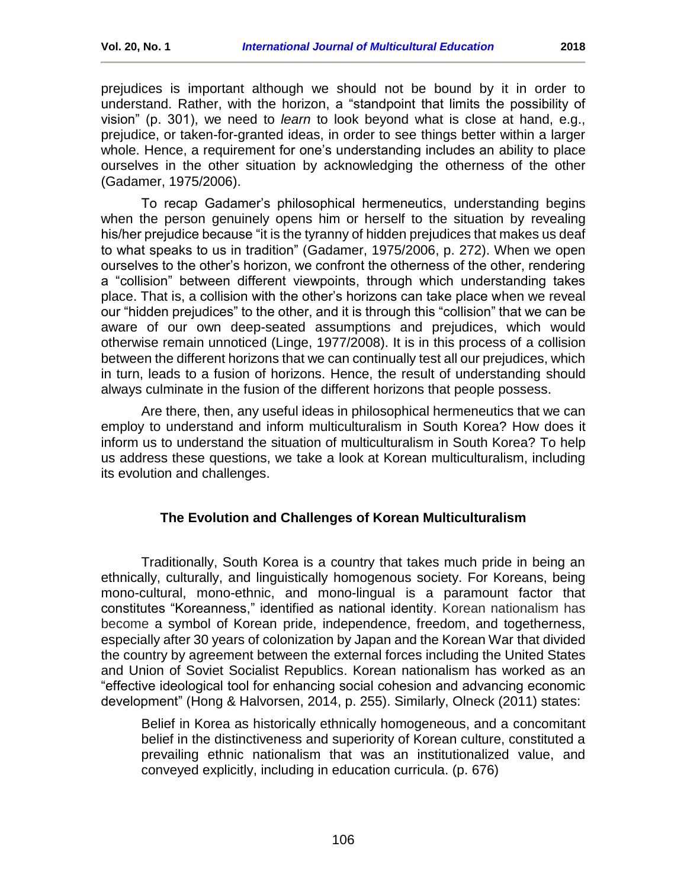prejudices is important although we should not be bound by it in order to understand. Rather, with the horizon, a "standpoint that limits the possibility of vision" (p. 301), we need to *learn* to look beyond what is close at hand, e.g., prejudice, or taken-for-granted ideas, in order to see things better within a larger whole. Hence, a requirement for one's understanding includes an ability to place ourselves in the other situation by acknowledging the otherness of the other (Gadamer, 1975/2006).

To recap Gadamer's philosophical hermeneutics, understanding begins when the person genuinely opens him or herself to the situation by revealing his/her prejudice because "it is the tyranny of hidden prejudices that makes us deaf to what speaks to us in tradition" (Gadamer, 1975/2006, p. 272). When we open ourselves to the other's horizon, we confront the otherness of the other, rendering a "collision" between different viewpoints, through which understanding takes place. That is, a collision with the other's horizons can take place when we reveal our "hidden prejudices" to the other, and it is through this "collision" that we can be aware of our own deep-seated assumptions and prejudices, which would otherwise remain unnoticed (Linge, 1977/2008). It is in this process of a collision between the different horizons that we can continually test all our prejudices, which in turn, leads to a fusion of horizons. Hence, the result of understanding should always culminate in the fusion of the different horizons that people possess.

Are there, then, any useful ideas in philosophical hermeneutics that we can employ to understand and inform multiculturalism in South Korea? How does it inform us to understand the situation of multiculturalism in South Korea? To help us address these questions, we take a look at Korean multiculturalism, including its evolution and challenges.

### **The Evolution and Challenges of Korean Multiculturalism**

<span id="page-4-0"></span>Traditionally, South Korea is a country that takes much pride in being an ethnically, culturally, and linguistically homogenous society. For Koreans, being mono-cultural, mono-ethnic, and mono-lingual is a paramount factor that constitutes "Koreanness," identified as national identity. Korean nationalism has become a symbol of Korean pride, independence, freedom, and togetherness, especially after 30 years of colonization by Japan and the Korean War that divided the country by agreement between the external forces including the United States and Union of Soviet Socialist Republics. Korean nationalism has worked as an "effective ideological tool for enhancing social cohesion and advancing economic development" (Hong & Halvorsen, 2014, p. 255). Similarly, Olneck (2011) states:

Belief in Korea as historically ethnically homogeneous, and a concomitant belief in the distinctiveness and superiority of Korean culture, constituted a prevailing ethnic nationalism that was an institutionalized value, and conveyed explicitly, including in education curricula. (p. 676)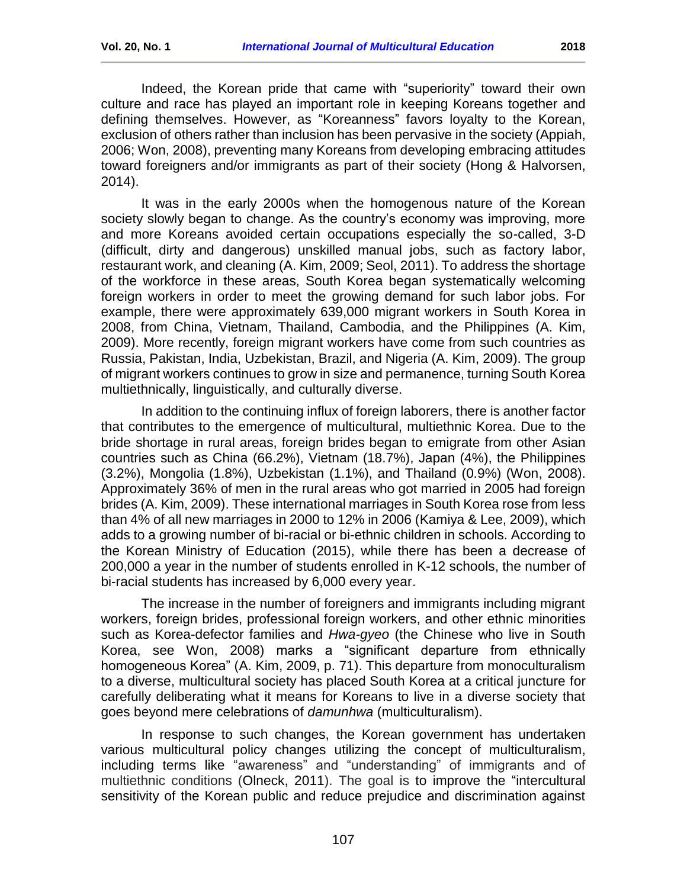Indeed, the Korean pride that came with "superiority" toward their own culture and race has played an important role in keeping Koreans together and defining themselves. However, as "Koreanness" favors loyalty to the Korean, exclusion of others rather than inclusion has been pervasive in the society (Appiah, 2006; Won, 2008), preventing many Koreans from developing embracing attitudes toward foreigners and/or immigrants as part of their society (Hong & Halvorsen, 2014).

It was in the early 2000s when the homogenous nature of the Korean society slowly began to change. As the country's economy was improving, more and more Koreans avoided certain occupations especially the so-called, 3-D (difficult, dirty and dangerous) unskilled manual jobs, such as factory labor, restaurant work, and cleaning (A. Kim, 2009; Seol, 2011). To address the shortage of the workforce in these areas, South Korea began systematically welcoming foreign workers in order to meet the growing demand for such labor jobs. For example, there were approximately 639,000 migrant workers in South Korea in 2008, from China, Vietnam, Thailand, Cambodia, and the Philippines (A. Kim, 2009). More recently, foreign migrant workers have come from such countries as Russia, Pakistan, India, Uzbekistan, Brazil, and Nigeria (A. Kim, 2009). The group of migrant workers continues to grow in size and permanence, turning South Korea multiethnically, linguistically, and culturally diverse.

In addition to the continuing influx of foreign laborers, there is another factor that contributes to the emergence of multicultural, multiethnic Korea. Due to the bride shortage in rural areas, foreign brides began to emigrate from other Asian countries such as China (66.2%), Vietnam (18.7%), Japan (4%), the Philippines (3.2%), Mongolia (1.8%), Uzbekistan (1.1%), and Thailand (0.9%) (Won, 2008). Approximately 36% of men in the rural areas who got married in 2005 had foreign brides (A. Kim, 2009). These international marriages in South Korea rose from less than 4% of all new marriages in 2000 to 12% in 2006 (Kamiya & Lee, 2009), which adds to a growing number of bi-racial or bi-ethnic children in schools. According to the Korean Ministry of Education (2015), while there has been a decrease of 200,000 a year in the number of students enrolled in K-12 schools, the number of bi-racial students has increased by 6,000 every year.

The increase in the number of foreigners and immigrants including migrant workers, foreign brides, professional foreign workers, and other ethnic minorities such as Korea-defector families and *Hwa-gyeo* (the Chinese who live in South Korea, see Won, 2008) marks a "significant departure from ethnically homogeneous Korea" (A. Kim, 2009, p. 71). This departure from monoculturalism to a diverse, multicultural society has placed South Korea at a critical juncture for carefully deliberating what it means for Koreans to live in a diverse society that goes beyond mere celebrations of *damunhwa* (multiculturalism).

In response to such changes, the Korean government has undertaken various multicultural policy changes utilizing the concept of multiculturalism, including terms like "awareness" and "understanding" of immigrants and of multiethnic conditions (Olneck, 2011). The goal is to improve the "intercultural sensitivity of the Korean public and reduce prejudice and discrimination against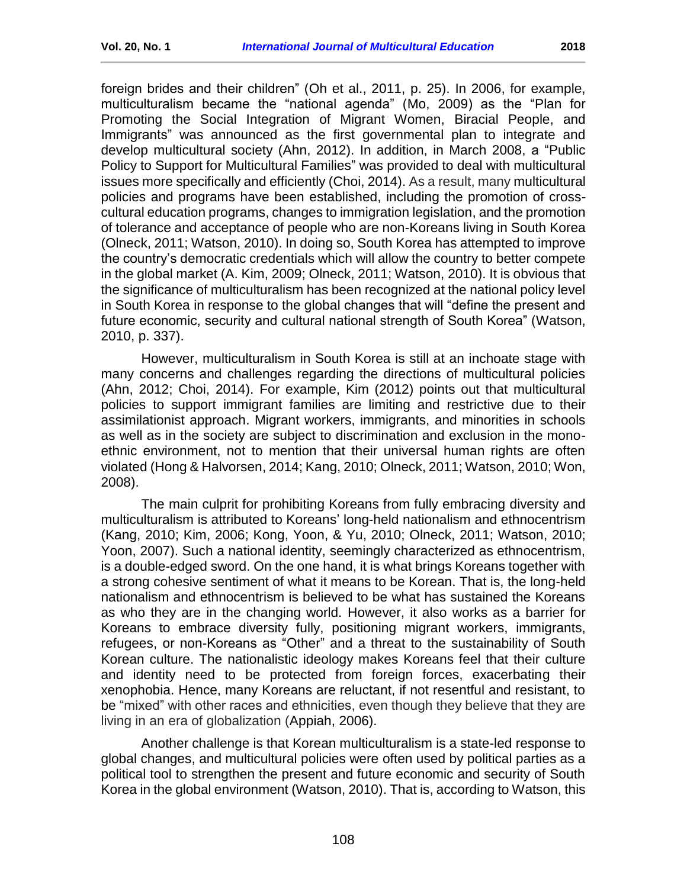foreign brides and their children" (Oh et al., 2011, p. 25). In 2006, for example, multiculturalism became the "national agenda" (Mo, 2009) as the "Plan for Promoting the Social Integration of Migrant Women, Biracial People, and Immigrants" was announced as the first governmental plan to integrate and develop multicultural society (Ahn, 2012). In addition, in March 2008, a "Public Policy to Support for Multicultural Families" was provided to deal with multicultural issues more specifically and efficiently (Choi, 2014). As a result, many multicultural policies and programs have been established, including the promotion of crosscultural education programs, changes to immigration legislation, and the promotion of tolerance and acceptance of people who are non-Koreans living in South Korea (Olneck, 2011; Watson, 2010). In doing so, South Korea has attempted to improve the country's democratic credentials which will allow the country to better compete in the global market (A. Kim, 2009; Olneck, 2011; Watson, 2010). It is obvious that the significance of multiculturalism has been recognized at the national policy level in South Korea in response to the global changes that will "define the present and future economic, security and cultural national strength of South Korea" (Watson, 2010, p. 337).

However, multiculturalism in South Korea is still at an inchoate stage with many concerns and challenges regarding the directions of multicultural policies (Ahn, 2012; Choi, 2014). For example, Kim (2012) points out that multicultural policies to support immigrant families are limiting and restrictive due to their assimilationist approach. Migrant workers, immigrants, and minorities in schools as well as in the society are subject to discrimination and exclusion in the monoethnic environment, not to mention that their universal human rights are often violated (Hong & Halvorsen, 2014; Kang, 2010; Olneck, 2011; Watson, 2010; Won, 2008).

The main culprit for prohibiting Koreans from fully embracing diversity and multiculturalism is attributed to Koreans' long-held nationalism and ethnocentrism (Kang, 2010; Kim, 2006; Kong, Yoon, & Yu, 2010; Olneck, 2011; Watson, 2010; Yoon, 2007). Such a national identity, seemingly characterized as ethnocentrism, is a double-edged sword. On the one hand, it is what brings Koreans together with a strong cohesive sentiment of what it means to be Korean. That is, the long-held nationalism and ethnocentrism is believed to be what has sustained the Koreans as who they are in the changing world. However, it also works as a barrier for Koreans to embrace diversity fully, positioning migrant workers, immigrants, refugees, or non-Koreans as "Other" and a threat to the sustainability of South Korean culture. The nationalistic ideology makes Koreans feel that their culture and identity need to be protected from foreign forces, exacerbating their xenophobia. Hence, many Koreans are reluctant, if not resentful and resistant, to be "mixed" with other races and ethnicities, even though they believe that they are living in an era of globalization (Appiah, 2006).

Another challenge is that Korean multiculturalism is a state-led response to global changes, and multicultural policies were often used by political parties as a political tool to strengthen the present and future economic and security of South Korea in the global environment (Watson, 2010). That is, according to Watson, this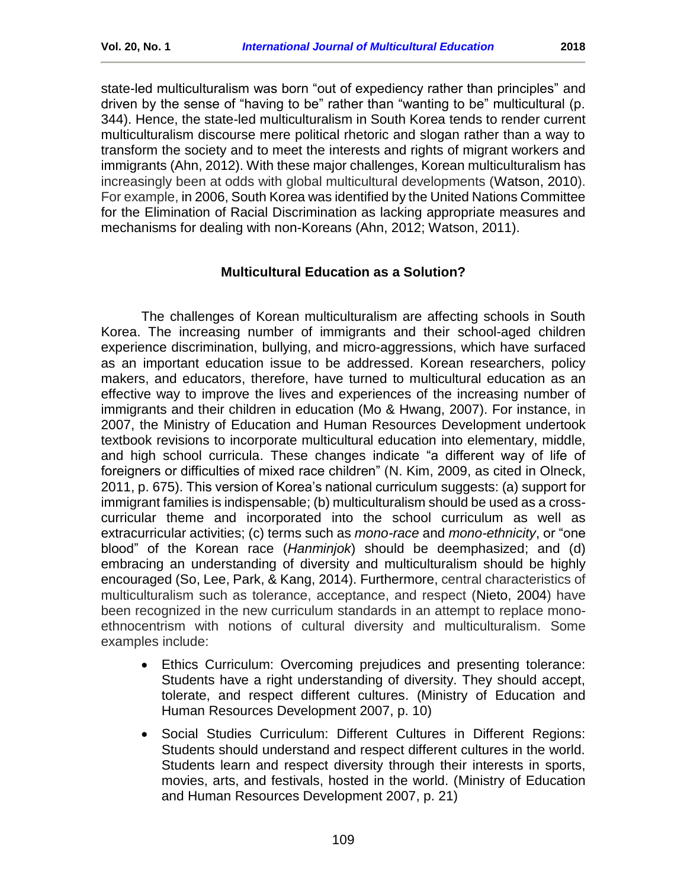state-led multiculturalism was born "out of expediency rather than principles" and driven by the sense of "having to be" rather than "wanting to be" multicultural (p. 344). Hence, the state-led multiculturalism in South Korea tends to render current multiculturalism discourse mere political rhetoric and slogan rather than a way to transform the society and to meet the interests and rights of migrant workers and immigrants (Ahn, 2012). With these major challenges, Korean multiculturalism has increasingly been at odds with global multicultural developments (Watson, 2010). For example, in 2006, South Korea was identified by the United Nations Committee for the Elimination of Racial Discrimination as lacking appropriate measures and mechanisms for dealing with non-Koreans (Ahn, 2012; Watson, 2011).

## **Multicultural Education as a Solution?**

<span id="page-7-0"></span>The challenges of Korean multiculturalism are affecting schools in South Korea. The increasing number of immigrants and their school-aged children experience discrimination, bullying, and micro-aggressions, which have surfaced as an important education issue to be addressed. Korean researchers, policy makers, and educators, therefore, have turned to multicultural education as an effective way to improve the lives and experiences of the increasing number of immigrants and their children in education (Mo & Hwang, 2007). For instance, in 2007, the Ministry of Education and Human Resources Development undertook textbook revisions to incorporate multicultural education into elementary, middle, and high school curricula. These changes indicate "a different way of life of foreigners or difficulties of mixed race children" (N. Kim, 2009, as cited in Olneck, 2011, p. 675). This version of Korea's national curriculum suggests: (a) support for immigrant families is indispensable; (b) multiculturalism should be used as a crosscurricular theme and incorporated into the school curriculum as well as extracurricular activities; (c) terms such as *mono-race* and *mono-ethnicity*, or "one blood" of the Korean race (*Hanminjok*) should be deemphasized; and (d) embracing an understanding of diversity and multiculturalism should be highly encouraged (So, Lee, Park, & Kang, 2014). Furthermore, central characteristics of multiculturalism such as tolerance, acceptance, and respect (Nieto, 2004) have been recognized in the new curriculum standards in an attempt to replace monoethnocentrism with notions of cultural diversity and multiculturalism. Some examples include:

- Ethics Curriculum: Overcoming prejudices and presenting tolerance: Students have a right understanding of diversity. They should accept, tolerate, and respect different cultures. (Ministry of Education and Human Resources Development 2007, p. 10)
- Social Studies Curriculum: Different Cultures in Different Regions: Students should understand and respect different cultures in the world. Students learn and respect diversity through their interests in sports, movies, arts, and festivals, hosted in the world. (Ministry of Education and Human Resources Development 2007, p. 21)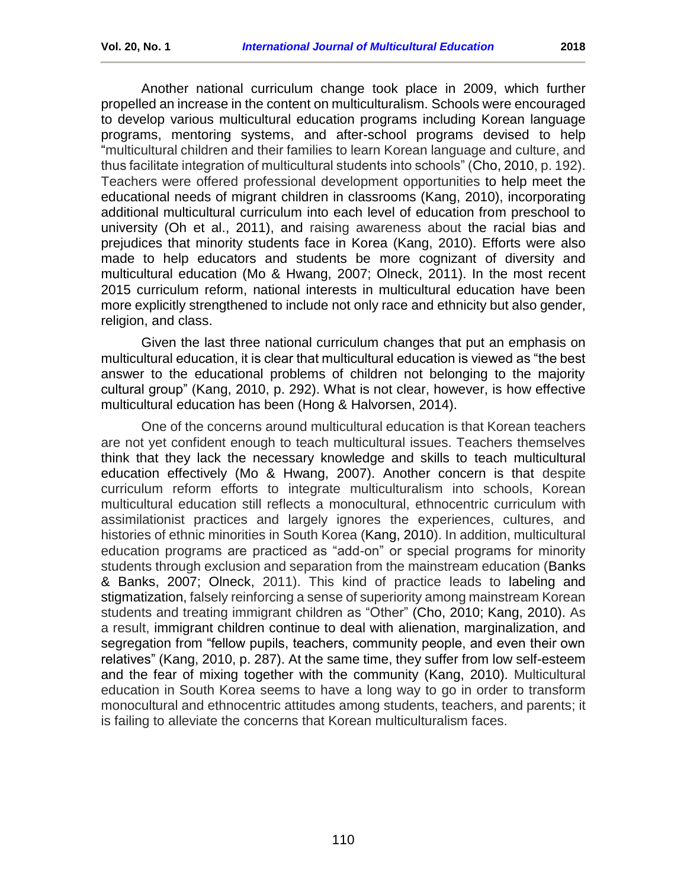Another national curriculum change took place in 2009, which further propelled an increase in the content on multiculturalism. Schools were encouraged to develop various multicultural education programs including Korean language programs, mentoring systems, and after-school programs devised to help "multicultural children and their families to learn Korean language and culture, and thus facilitate integration of multicultural students into schools" (Cho, 2010, p. 192). Teachers were offered professional development opportunities to help meet the educational needs of migrant children in classrooms (Kang, 2010), incorporating additional multicultural curriculum into each level of education from preschool to university (Oh et al., 2011), and raising awareness about the racial bias and prejudices that minority students face in Korea (Kang, 2010). Efforts were also made to help educators and students be more cognizant of diversity and multicultural education (Mo & Hwang, 2007; Olneck, 2011). In the most recent 2015 curriculum reform, national interests in multicultural education have been more explicitly strengthened to include not only race and ethnicity but also gender, religion, and class.

Given the last three national curriculum changes that put an emphasis on multicultural education, it is clear that multicultural education is viewed as "the best answer to the educational problems of children not belonging to the majority cultural group" (Kang, 2010, p. 292). What is not clear, however, is how effective multicultural education has been (Hong & Halvorsen, 2014).

<span id="page-8-0"></span>One of the concerns around multicultural education is that Korean teachers are not yet confident enough to teach multicultural issues. Teachers themselves think that they lack the necessary knowledge and skills to teach multicultural education effectively (Mo & Hwang, 2007). Another concern is that despite curriculum reform efforts to integrate multiculturalism into schools, Korean multicultural education still reflects a monocultural, ethnocentric curriculum with assimilationist practices and largely ignores the experiences, cultures, and histories of ethnic minorities in South Korea (Kang, 2010). In addition, multicultural education programs are practiced as "add-on" or special programs for minority students through exclusion and separation from the mainstream education (Banks & Banks, 2007; Olneck, 2011). This kind of practice leads to labeling and stigmatization, falsely reinforcing a sense of superiority among mainstream Korean students and treating immigrant children as "Other" (Cho, 2010; Kang, 2010). As a result, immigrant children continue to deal with alienation, marginalization, and segregation from "fellow pupils, teachers, community people, and even their own relatives" (Kang, 2010, p. 287). At the same time, they suffer from low self-esteem and the fear of mixing together with the community (Kang, 2010). Multicultural education in South Korea seems to have a long way to go in order to transform monocultural and ethnocentric attitudes among students, teachers, and parents; it is failing to alleviate the concerns that Korean multiculturalism faces.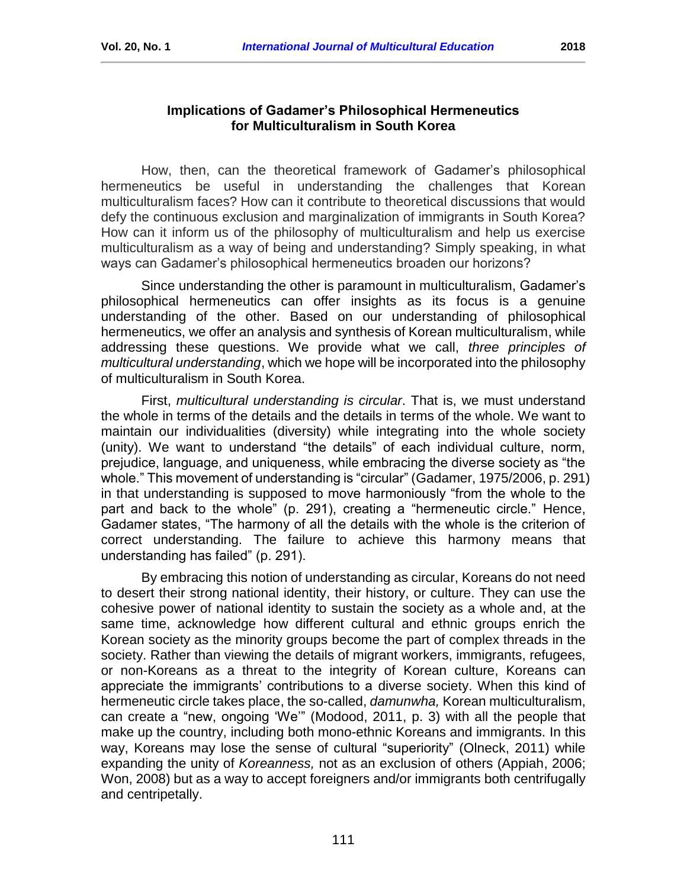# **Implications of Gadamer's Philosophical Hermeneutics for Multiculturalism in South Korea**

How, then, can the theoretical framework of Gadamer's philosophical hermeneutics be useful in understanding the challenges that Korean multiculturalism faces? How can it contribute to theoretical discussions that would defy the continuous exclusion and marginalization of immigrants in South Korea? How can it inform us of the philosophy of multiculturalism and help us exercise multiculturalism as a way of being and understanding? Simply speaking, in what ways can Gadamer's philosophical hermeneutics broaden our horizons?

Since understanding the other is paramount in multiculturalism, Gadamer's philosophical hermeneutics can offer insights as its focus is a genuine understanding of the other. Based on our understanding of philosophical hermeneutics, we offer an analysis and synthesis of Korean multiculturalism, while addressing these questions. We provide what we call, *three principles of multicultural understanding*, which we hope will be incorporated into the philosophy of multiculturalism in South Korea.

First, *multicultural understanding is circular*. That is, we must understand the whole in terms of the details and the details in terms of the whole. We want to maintain our individualities (diversity) while integrating into the whole society (unity). We want to understand "the details" of each individual culture, norm, prejudice, language, and uniqueness, while embracing the diverse society as "the whole." This movement of understanding is "circular" (Gadamer, 1975/2006, p. 291) in that understanding is supposed to move harmoniously "from the whole to the part and back to the whole" (p. 291), creating a "hermeneutic circle." Hence, Gadamer states, "The harmony of all the details with the whole is the criterion of correct understanding. The failure to achieve this harmony means that understanding has failed" (p. 291).

By embracing this notion of understanding as circular, Koreans do not need to desert their strong national identity, their history, or culture. They can use the cohesive power of national identity to sustain the society as a whole and, at the same time, acknowledge how different cultural and ethnic groups enrich the Korean society as the minority groups become the part of complex threads in the society. Rather than viewing the details of migrant workers, immigrants, refugees, or non-Koreans as a threat to the integrity of Korean culture, Koreans can appreciate the immigrants' contributions to a diverse society. When this kind of hermeneutic circle takes place, the so-called, *damunwha,* Korean multiculturalism, can create a "new, ongoing 'We'" (Modood, 2011, p. 3) with all the people that make up the country, including both mono-ethnic Koreans and immigrants. In this way, Koreans may lose the sense of cultural "superiority" (Olneck, 2011) while expanding the unity of *Koreanness,* not as an exclusion of others (Appiah, 2006; Won, 2008) but as a way to accept foreigners and/or immigrants both centrifugally and centripetally.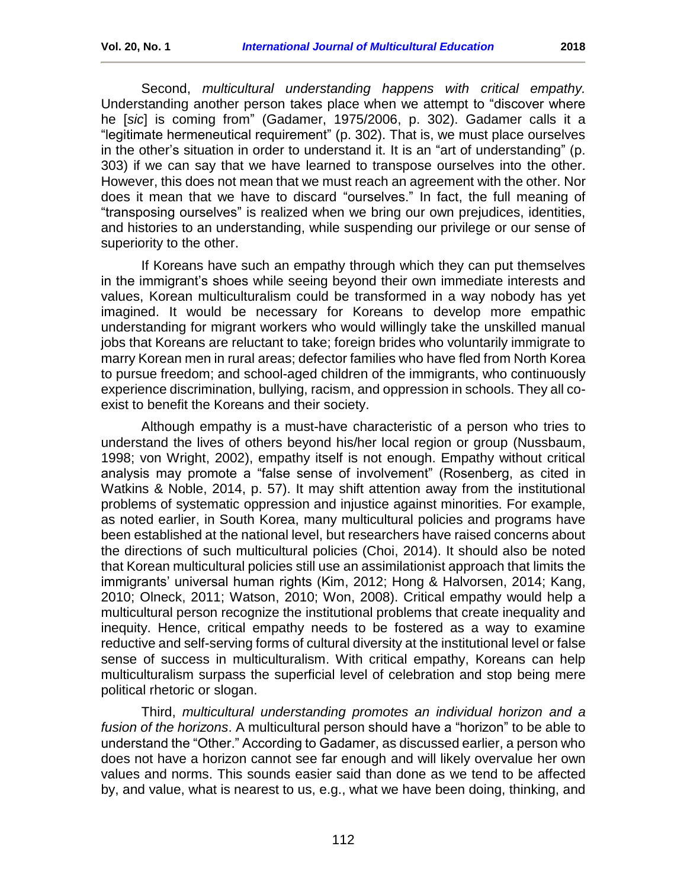Second, *multicultural understanding happens with critical empathy.* Understanding another person takes place when we attempt to "discover where he [*sic*] is coming from" (Gadamer, 1975/2006, p. 302). Gadamer calls it a "legitimate hermeneutical requirement" (p. 302). That is, we must place ourselves in the other's situation in order to understand it. It is an "art of understanding" (p. 303) if we can say that we have learned to transpose ourselves into the other. However, this does not mean that we must reach an agreement with the other. Nor does it mean that we have to discard "ourselves." In fact, the full meaning of "transposing ourselves" is realized when we bring our own prejudices, identities, and histories to an understanding, while suspending our privilege or our sense of superiority to the other.

If Koreans have such an empathy through which they can put themselves in the immigrant's shoes while seeing beyond their own immediate interests and values, Korean multiculturalism could be transformed in a way nobody has yet imagined. It would be necessary for Koreans to develop more empathic understanding for migrant workers who would willingly take the unskilled manual jobs that Koreans are reluctant to take; foreign brides who voluntarily immigrate to marry Korean men in rural areas; defector families who have fled from North Korea to pursue freedom; and school-aged children of the immigrants, who continuously experience discrimination, bullying, racism, and oppression in schools. They all coexist to benefit the Koreans and their society.

Although empathy is a must-have characteristic of a person who tries to understand the lives of others beyond his/her local region or group (Nussbaum, 1998; von Wright, 2002), empathy itself is not enough. Empathy without critical analysis may promote a "false sense of involvement" (Rosenberg, as cited in Watkins & Noble, 2014, p. 57). It may shift attention away from the institutional problems of systematic oppression and injustice against minorities. For example, as noted earlier, in South Korea, many multicultural policies and programs have been established at the national level, but researchers have raised concerns about the directions of such multicultural policies (Choi, 2014). It should also be noted that Korean multicultural policies still use an assimilationist approach that limits the immigrants' universal human rights (Kim, 2012; Hong & Halvorsen, 2014; Kang, 2010; Olneck, 2011; Watson, 2010; Won, 2008). Critical empathy would help a multicultural person recognize the institutional problems that create inequality and inequity. Hence, critical empathy needs to be fostered as a way to examine reductive and self-serving forms of cultural diversity at the institutional level or false sense of success in multiculturalism. With critical empathy, Koreans can help multiculturalism surpass the superficial level of celebration and stop being mere political rhetoric or slogan.

Third, *multicultural understanding promotes an individual horizon and a fusion of the horizons*. A multicultural person should have a "horizon" to be able to understand the "Other." According to Gadamer, as discussed earlier, a person who does not have a horizon cannot see far enough and will likely overvalue her own values and norms. This sounds easier said than done as we tend to be affected by, and value, what is nearest to us, e.g., what we have been doing, thinking, and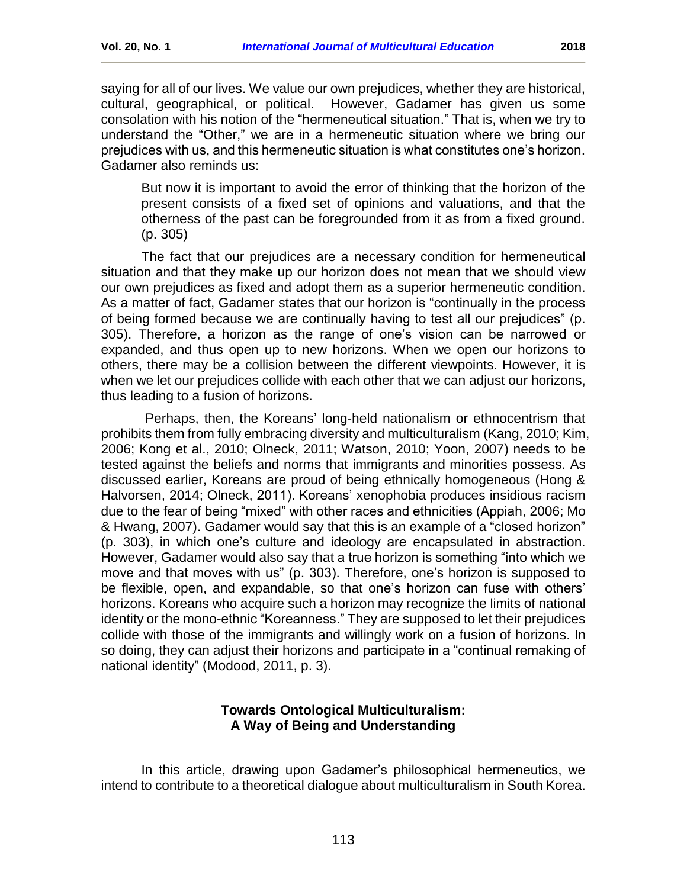saying for all of our lives. We value our own prejudices, whether they are historical, cultural, geographical, or political. However, Gadamer has given us some consolation with his notion of the "hermeneutical situation." That is, when we try to understand the "Other," we are in a hermeneutic situation where we bring our prejudices with us, and this hermeneutic situation is what constitutes one's horizon. Gadamer also reminds us:

But now it is important to avoid the error of thinking that the horizon of the present consists of a fixed set of opinions and valuations, and that the otherness of the past can be foregrounded from it as from a fixed ground. (p. 305)

The fact that our prejudices are a necessary condition for hermeneutical situation and that they make up our horizon does not mean that we should view our own prejudices as fixed and adopt them as a superior hermeneutic condition. As a matter of fact, Gadamer states that our horizon is "continually in the process of being formed because we are continually having to test all our prejudices" (p. 305). Therefore, a horizon as the range of one's vision can be narrowed or expanded, and thus open up to new horizons. When we open our horizons to others, there may be a collision between the different viewpoints. However, it is when we let our prejudices collide with each other that we can adjust our horizons, thus leading to a fusion of horizons.

Perhaps, then, the Koreans' long-held nationalism or ethnocentrism that prohibits them from fully embracing diversity and multiculturalism (Kang, 2010; Kim, 2006; Kong et al., 2010; Olneck, 2011; Watson, 2010; Yoon, 2007) needs to be tested against the beliefs and norms that immigrants and minorities possess. As discussed earlier, Koreans are proud of being ethnically homogeneous (Hong & Halvorsen, 2014; Olneck, 2011). Koreans' xenophobia produces insidious racism due to the fear of being "mixed" with other races and ethnicities (Appiah, 2006; Mo & Hwang, 2007). Gadamer would say that this is an example of a "closed horizon" (p. 303), in which one's culture and ideology are encapsulated in abstraction. However, Gadamer would also say that a true horizon is something "into which we move and that moves with us" (p. 303). Therefore, one's horizon is supposed to be flexible, open, and expandable, so that one's horizon can fuse with others' horizons. Koreans who acquire such a horizon may recognize the limits of national identity or the mono-ethnic "Koreanness." They are supposed to let their prejudices collide with those of the immigrants and willingly work on a fusion of horizons. In so doing, they can adjust their horizons and participate in a "continual remaking of national identity" (Modood, 2011, p. 3).

## **Towards Ontological Multiculturalism: A Way of Being and Understanding**

<span id="page-11-0"></span>In this article, drawing upon Gadamer's philosophical hermeneutics, we intend to contribute to a theoretical dialogue about multiculturalism in South Korea.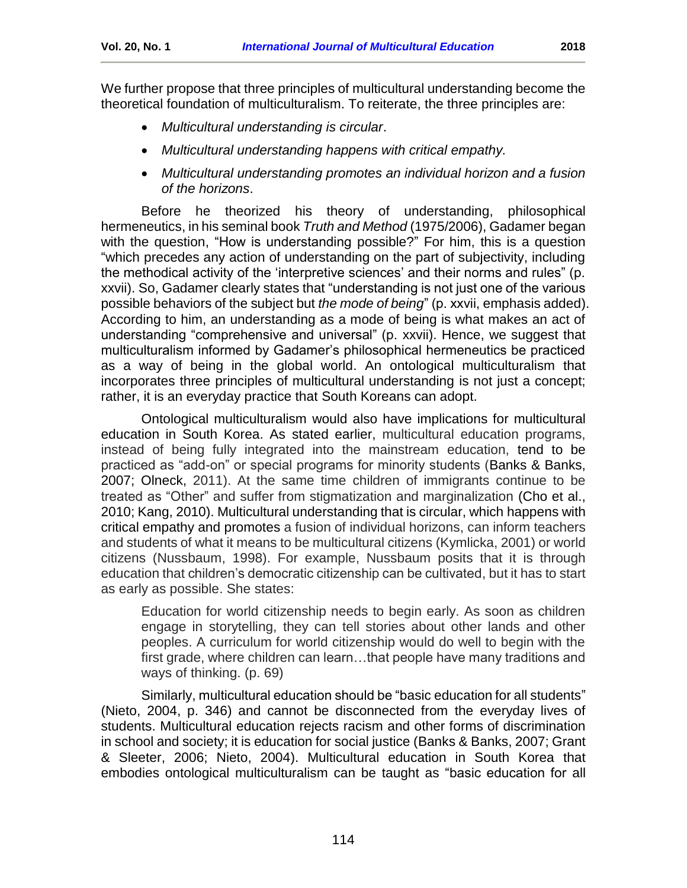We further propose that three principles of multicultural understanding become the theoretical foundation of multiculturalism. To reiterate, the three principles are:

- *Multicultural understanding is circular*.
- *Multicultural understanding happens with critical empathy.*
- *Multicultural understanding promotes an individual horizon and a fusion of the horizons*.

Before he theorized his theory of understanding, philosophical hermeneutics, in his seminal book *Truth and Method* (1975/2006), Gadamer began with the question, "How is understanding possible?" For him, this is a question "which precedes any action of understanding on the part of subjectivity, including the methodical activity of the 'interpretive sciences' and their norms and rules" (p. xxvii). So, Gadamer clearly states that "understanding is not just one of the various possible behaviors of the subject but *the mode of being*" (p. xxvii, emphasis added). According to him, an understanding as a mode of being is what makes an act of understanding "comprehensive and universal" (p. xxvii). Hence, we suggest that multiculturalism informed by Gadamer's philosophical hermeneutics be practiced as a way of being in the global world. An ontological multiculturalism that incorporates three principles of multicultural understanding is not just a concept; rather, it is an everyday practice that South Koreans can adopt.

Ontological multiculturalism would also have implications for multicultural education in South Korea. As stated earlier, multicultural education programs, instead of being fully integrated into the mainstream education, tend to be practiced as "add-on" or special programs for minority students (Banks & Banks, 2007; Olneck, 2011). At the same time children of immigrants continue to be treated as "Other" and suffer from stigmatization and marginalization (Cho et al., 2010; Kang, 2010). Multicultural understanding that is circular, which happens with critical empathy and promotes a fusion of individual horizons, can inform teachers and students of what it means to be multicultural citizens (Kymlicka, 2001) or world citizens (Nussbaum, 1998). For example, Nussbaum posits that it is through education that children's democratic citizenship can be cultivated, but it has to start as early as possible. She states:

Education for world citizenship needs to begin early. As soon as children engage in storytelling, they can tell stories about other lands and other peoples. A curriculum for world citizenship would do well to begin with the first grade, where children can learn…that people have many traditions and ways of thinking. (p. 69)

Similarly, multicultural education should be "basic education for all students" (Nieto, 2004, p. 346) and cannot be disconnected from the everyday lives of students. Multicultural education rejects racism and other forms of discrimination in school and society; it is education for social justice (Banks & Banks, 2007; Grant & Sleeter, 2006; Nieto, 2004). Multicultural education in South Korea that embodies ontological multiculturalism can be taught as "basic education for all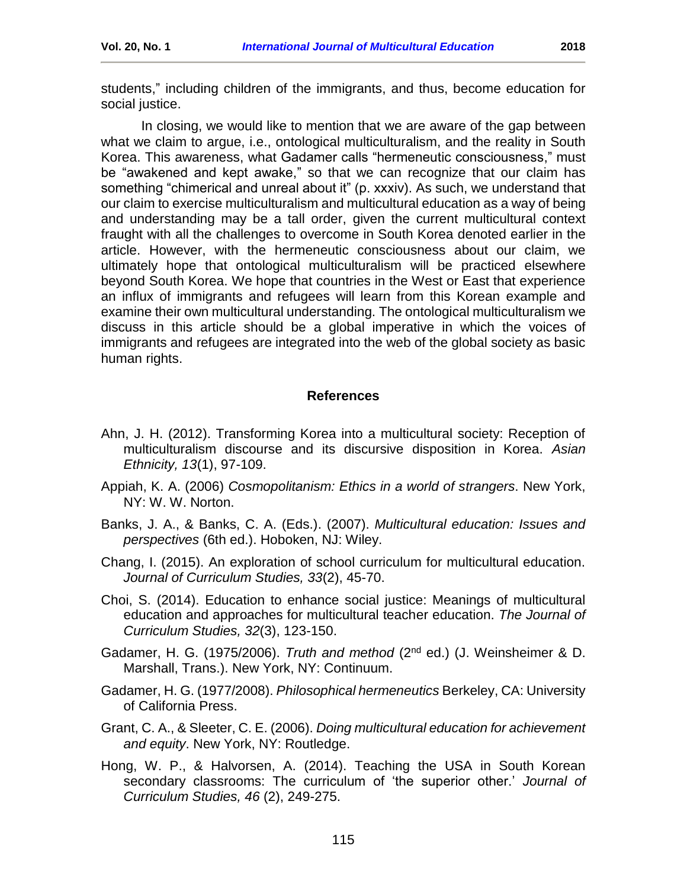students," including children of the immigrants, and thus, become education for social justice.

In closing, we would like to mention that we are aware of the gap between what we claim to argue, i.e., ontological multiculturalism, and the reality in South Korea. This awareness, what Gadamer calls "hermeneutic consciousness," must be "awakened and kept awake," so that we can recognize that our claim has something "chimerical and unreal about it" (p. xxxiv). As such, we understand that our claim to exercise multiculturalism and multicultural education as a way of being and understanding may be a tall order, given the current multicultural context fraught with all the challenges to overcome in South Korea denoted earlier in the article. However, with the hermeneutic consciousness about our claim, we ultimately hope that ontological multiculturalism will be practiced elsewhere beyond South Korea. We hope that countries in the West or East that experience an influx of immigrants and refugees will learn from this Korean example and examine their own multicultural understanding. The ontological multiculturalism we discuss in this article should be a global imperative in which the voices of immigrants and refugees are integrated into the web of the global society as basic human rights.

#### **References**

- <span id="page-13-0"></span>Ahn, J. H. (2012). Transforming Korea into a multicultural society: Reception of multiculturalism discourse and its discursive disposition in Korea. *Asian Ethnicity, 13*(1), 97-109.
- Appiah, K. A. (2006) *Cosmopolitanism: Ethics in a world of strangers*. New York, NY: W. W. Norton.
- Banks, J. A., & Banks, C. A. (Eds.). (2007). *Multicultural education: Issues and perspectives* (6th ed.). Hoboken, NJ: Wiley.
- Chang, I. (2015). An exploration of school curriculum for multicultural education. *Journal of Curriculum Studies, 33*(2), 45-70.
- Choi, S. (2014). Education to enhance social justice: Meanings of multicultural education and approaches for multicultural teacher education. *The Journal of Curriculum Studies, 32*(3), 123-150.
- Gadamer, H. G. (1975/2006). *Truth and method* (2nd ed.) (J. Weinsheimer & D. Marshall, Trans.). New York, NY: Continuum.
- Gadamer, H. G. (1977/2008). *Philosophical hermeneutics* Berkeley, CA: University of California Press.
- Grant, C. A., & Sleeter, C. E. (2006). *Doing multicultural education for achievement and equity*. New York, NY: Routledge.
- Hong, W. P., & Halvorsen, A. (2014). Teaching the USA in South Korean secondary classrooms: The curriculum of 'the superior other.' *Journal of Curriculum Studies, 46* (2), 249-275.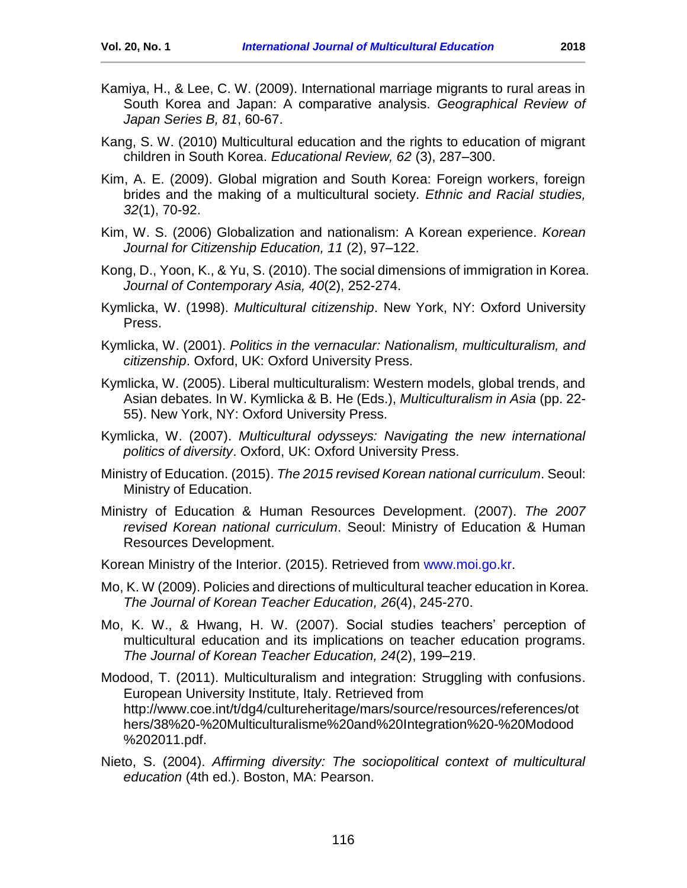- Kamiya, H., & Lee, C. W. (2009). International marriage migrants to rural areas in South Korea and Japan: A comparative analysis. *Geographical Review of Japan Series B, 81*, 60-67.
- Kang, S. W. (2010) Multicultural education and the rights to education of migrant children in South Korea. *Educational Review, 62* (3), 287–300.
- Kim, A. E. (2009). Global migration and South Korea: Foreign workers, foreign brides and the making of a multicultural society. *Ethnic and Racial studies, 32*(1), 70-92.
- Kim, W. S. (2006) Globalization and nationalism: A Korean experience. *Korean Journal for Citizenship Education, 11* (2), 97–122.
- Kong, D., Yoon, K., & Yu, S. (2010). The social dimensions of immigration in Korea. *Journal of Contemporary Asia, 40*(2), 252-274.
- Kymlicka, W. (1998). *Multicultural citizenship*. New York, NY: Oxford University Press.
- Kymlicka, W. (2001). *Politics in the vernacular: Nationalism, multiculturalism, and citizenship*. Oxford, UK: Oxford University Press.
- Kymlicka, W. (2005). Liberal multiculturalism: Western models, global trends, and Asian debates. In W. Kymlicka & B. He (Eds.), *Multiculturalism in Asia* (pp. 22- 55). New York, NY: Oxford University Press.
- Kymlicka, W. (2007). *Multicultural odysseys: Navigating the new international politics of diversity*. Oxford, UK: Oxford University Press.
- Ministry of Education. (2015). *The 2015 revised Korean national curriculum*. Seoul: Ministry of Education.
- Ministry of Education & Human Resources Development. (2007). *The 2007 revised Korean national curriculum*. Seoul: Ministry of Education & Human Resources Development.
- Korean Ministry of the Interior. (2015). Retrieved from [www.moi.go.kr.](http://www.moi.go.kr/)
- Mo, K. W (2009). Policies and directions of multicultural teacher education in Korea. *The Journal of Korean Teacher Education, 26*(4), 245-270.
- Mo, K. W., & Hwang, H. W. (2007). Social studies teachers' perception of multicultural education and its implications on teacher education programs. *The Journal of Korean Teacher Education, 24*(2), 199–219.
- Modood, T. (2011). Multiculturalism and integration: Struggling with confusions. European University Institute, Italy. Retrieved from [http://www.coe.int/t/dg4/cultureheritage/mars/source/resources/references/ot](http://www.coe.int/t/dg4/cultureheritage/mars/source/resources/references/others/38%20-%20Multiculturalisme%20and%20Integration%20-%20Modood%202011.pdf) [hers/38%20-%20Multiculturalisme%20and%20Integration%20-%20Modood](http://www.coe.int/t/dg4/cultureheritage/mars/source/resources/references/others/38%20-%20Multiculturalisme%20and%20Integration%20-%20Modood%202011.pdf) [%202011.pdf.](http://www.coe.int/t/dg4/cultureheritage/mars/source/resources/references/others/38%20-%20Multiculturalisme%20and%20Integration%20-%20Modood%202011.pdf)
- Nieto, S. (2004). *Affirming diversity: The sociopolitical context of multicultural education* (4th ed.). Boston, MA: Pearson.